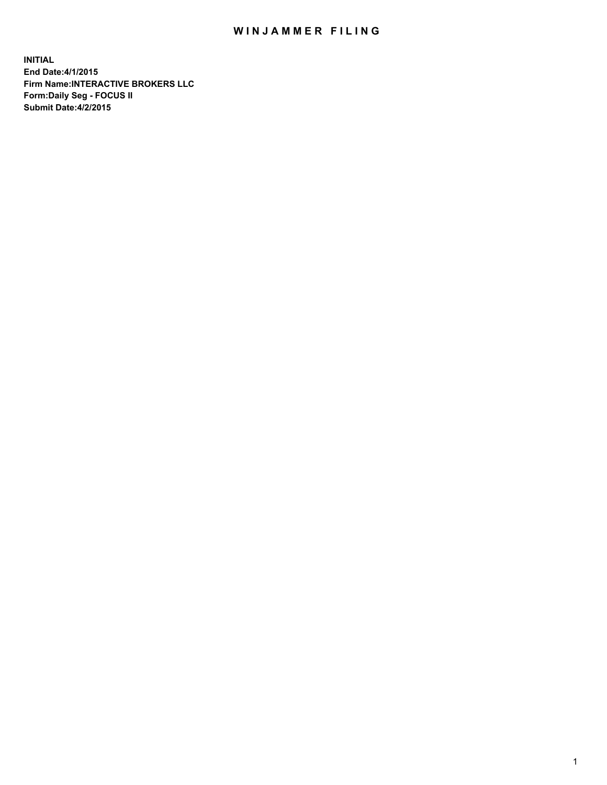## WIN JAMMER FILING

**INITIAL End Date:4/1/2015 Firm Name:INTERACTIVE BROKERS LLC Form:Daily Seg - FOCUS II Submit Date:4/2/2015**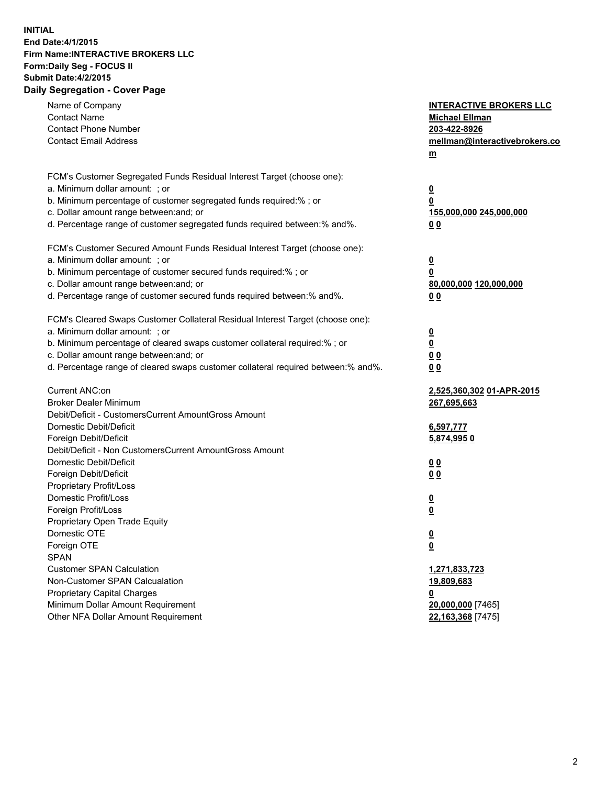## **INITIAL End Date:4/1/2015 Firm Name:INTERACTIVE BROKERS LLC Form:Daily Seg - FOCUS II Submit Date:4/2/2015 Daily Segregation - Cover Page**

| Name of Company                                                                   | <b>INTERACTIVE BROKERS LLC</b> |
|-----------------------------------------------------------------------------------|--------------------------------|
| <b>Contact Name</b>                                                               | <b>Michael Ellman</b>          |
| <b>Contact Phone Number</b>                                                       | 203-422-8926                   |
| <b>Contact Email Address</b>                                                      | mellman@interactivebrokers.co  |
|                                                                                   | $\underline{\mathbf{m}}$       |
| FCM's Customer Segregated Funds Residual Interest Target (choose one):            |                                |
| a. Minimum dollar amount: ; or                                                    | $\overline{\mathbf{0}}$        |
| b. Minimum percentage of customer segregated funds required:% ; or                | 0                              |
| c. Dollar amount range between: and; or                                           | 155,000,000 245,000,000        |
| d. Percentage range of customer segregated funds required between:% and%.         | 00                             |
| FCM's Customer Secured Amount Funds Residual Interest Target (choose one):        |                                |
| a. Minimum dollar amount: ; or                                                    | $\overline{\mathbf{0}}$        |
| b. Minimum percentage of customer secured funds required:% ; or                   | 0                              |
| c. Dollar amount range between: and; or                                           | 80,000,000 120,000,000         |
| d. Percentage range of customer secured funds required between:% and%.            | 00                             |
| FCM's Cleared Swaps Customer Collateral Residual Interest Target (choose one):    |                                |
| a. Minimum dollar amount: ; or                                                    | $\overline{\mathbf{0}}$        |
| b. Minimum percentage of cleared swaps customer collateral required:% ; or        | $\underline{\mathbf{0}}$       |
| c. Dollar amount range between: and; or                                           | 0 <sub>0</sub>                 |
| d. Percentage range of cleared swaps customer collateral required between:% and%. | 0 <sub>0</sub>                 |
|                                                                                   |                                |
| Current ANC:on                                                                    | 2,525,360,302 01-APR-2015      |
| <b>Broker Dealer Minimum</b>                                                      | 267,695,663                    |
| Debit/Deficit - CustomersCurrent AmountGross Amount                               |                                |
| Domestic Debit/Deficit                                                            | 6,597,777                      |
| Foreign Debit/Deficit                                                             | 5,874,9950                     |
| Debit/Deficit - Non CustomersCurrent AmountGross Amount                           |                                |
| Domestic Debit/Deficit                                                            | 0 <sub>0</sub>                 |
| Foreign Debit/Deficit                                                             | 0 <sub>0</sub>                 |
| Proprietary Profit/Loss                                                           |                                |
| Domestic Profit/Loss                                                              | $\overline{\mathbf{0}}$        |
| Foreign Profit/Loss                                                               | $\underline{\mathbf{0}}$       |
| Proprietary Open Trade Equity                                                     |                                |
| Domestic OTE                                                                      | <u>0</u>                       |
| Foreign OTE                                                                       | <u>0</u>                       |
| <b>SPAN</b>                                                                       |                                |
| <b>Customer SPAN Calculation</b>                                                  | 1,271,833,723                  |
| Non-Customer SPAN Calcualation                                                    | 19,809,683                     |
| Proprietary Capital Charges                                                       | 0                              |
| Minimum Dollar Amount Requirement                                                 | 20,000,000 [7465]              |
| Other NFA Dollar Amount Requirement                                               | 22,163,368 [7475]              |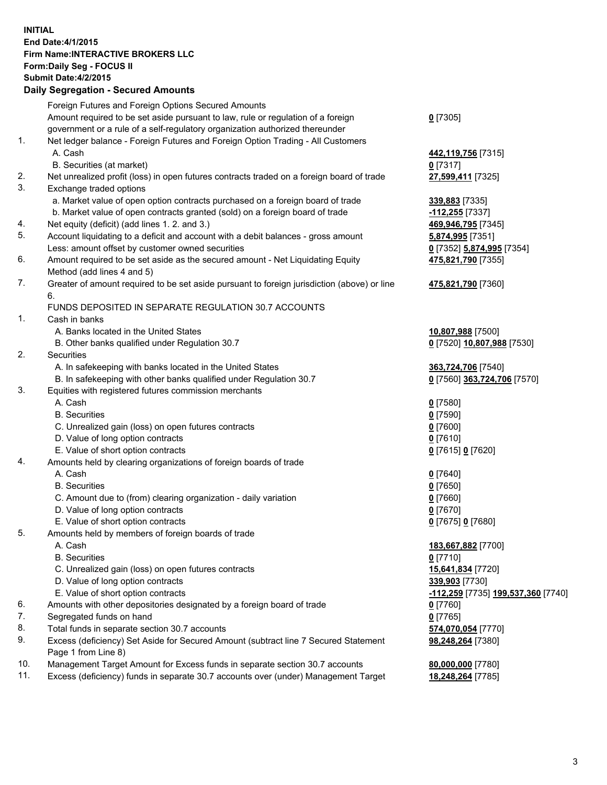## **INITIAL End Date:4/1/2015 Firm Name:INTERACTIVE BROKERS LLC Form:Daily Seg - FOCUS II Submit Date:4/2/2015 Daily Segregation - Secured Amounts**

|     | Dany Ocgregation - Oceanea Amounts                                                          |                                    |
|-----|---------------------------------------------------------------------------------------------|------------------------------------|
|     | Foreign Futures and Foreign Options Secured Amounts                                         |                                    |
|     | Amount required to be set aside pursuant to law, rule or regulation of a foreign            | $0$ [7305]                         |
|     | government or a rule of a self-regulatory organization authorized thereunder                |                                    |
| 1.  | Net ledger balance - Foreign Futures and Foreign Option Trading - All Customers             |                                    |
|     | A. Cash                                                                                     | 442,119,756 [7315]                 |
|     | B. Securities (at market)                                                                   | $0$ [7317]                         |
| 2.  | Net unrealized profit (loss) in open futures contracts traded on a foreign board of trade   | 27,599,411 [7325]                  |
| 3.  | Exchange traded options                                                                     |                                    |
|     | a. Market value of open option contracts purchased on a foreign board of trade              | 339,883 [7335]                     |
|     | b. Market value of open contracts granted (sold) on a foreign board of trade                | -112,255 [7337]                    |
| 4.  | Net equity (deficit) (add lines 1.2. and 3.)                                                | 469,946,795 [7345]                 |
| 5.  | Account liquidating to a deficit and account with a debit balances - gross amount           | 5,874,995 [7351]                   |
|     | Less: amount offset by customer owned securities                                            | 0 [7352] 5,874,995 [7354]          |
| 6.  | Amount required to be set aside as the secured amount - Net Liquidating Equity              | 475,821,790 [7355]                 |
|     | Method (add lines 4 and 5)                                                                  |                                    |
| 7.  | Greater of amount required to be set aside pursuant to foreign jurisdiction (above) or line | 475,821,790 [7360]                 |
|     | 6.                                                                                          |                                    |
|     | FUNDS DEPOSITED IN SEPARATE REGULATION 30.7 ACCOUNTS                                        |                                    |
| 1.  | Cash in banks                                                                               |                                    |
|     | A. Banks located in the United States                                                       | 10,807,988 [7500]                  |
|     | B. Other banks qualified under Regulation 30.7                                              | 0 [7520] 10,807,988 [7530]         |
| 2.  | Securities                                                                                  |                                    |
|     | A. In safekeeping with banks located in the United States                                   | 363,724,706 [7540]                 |
|     | B. In safekeeping with other banks qualified under Regulation 30.7                          | 0 [7560] 363,724,706 [7570]        |
| 3.  | Equities with registered futures commission merchants                                       |                                    |
|     | A. Cash                                                                                     | $0$ [7580]                         |
|     | <b>B.</b> Securities                                                                        | $0$ [7590]                         |
|     | C. Unrealized gain (loss) on open futures contracts                                         | $0$ [7600]                         |
|     | D. Value of long option contracts                                                           | $0$ [7610]                         |
|     | E. Value of short option contracts                                                          | 0 [7615] 0 [7620]                  |
| 4.  | Amounts held by clearing organizations of foreign boards of trade                           |                                    |
|     | A. Cash                                                                                     | $0$ [7640]                         |
|     | <b>B.</b> Securities                                                                        | $0$ [7650]                         |
|     | C. Amount due to (from) clearing organization - daily variation                             | $0$ [7660]                         |
|     | D. Value of long option contracts                                                           | $0$ [7670]                         |
|     | E. Value of short option contracts                                                          | 0 [7675] 0 [7680]                  |
| 5.  | Amounts held by members of foreign boards of trade                                          |                                    |
|     | A. Cash                                                                                     | 183,667,882 [7700]                 |
|     | <b>B.</b> Securities                                                                        | $0$ [7710]                         |
|     | C. Unrealized gain (loss) on open futures contracts                                         | 15,641,834 [7720]                  |
|     | D. Value of long option contracts                                                           | 339,903 [7730]                     |
|     | E. Value of short option contracts                                                          | -112,259 [7735] 199,537,360 [7740] |
| 6.  | Amounts with other depositories designated by a foreign board of trade                      | 0 [7760]                           |
| 7.  | Segregated funds on hand                                                                    | $0$ [7765]                         |
| 8.  | Total funds in separate section 30.7 accounts                                               | 574,070,054 [7770]                 |
| 9.  | Excess (deficiency) Set Aside for Secured Amount (subtract line 7 Secured Statement         | 98,248,264 [7380]                  |
|     | Page 1 from Line 8)                                                                         |                                    |
| 10. | Management Target Amount for Excess funds in separate section 30.7 accounts                 | 80,000,000 [7780]                  |
| 11. | Excess (deficiency) funds in separate 30.7 accounts over (under) Management Target          | 18,248,264 [7785]                  |
|     |                                                                                             |                                    |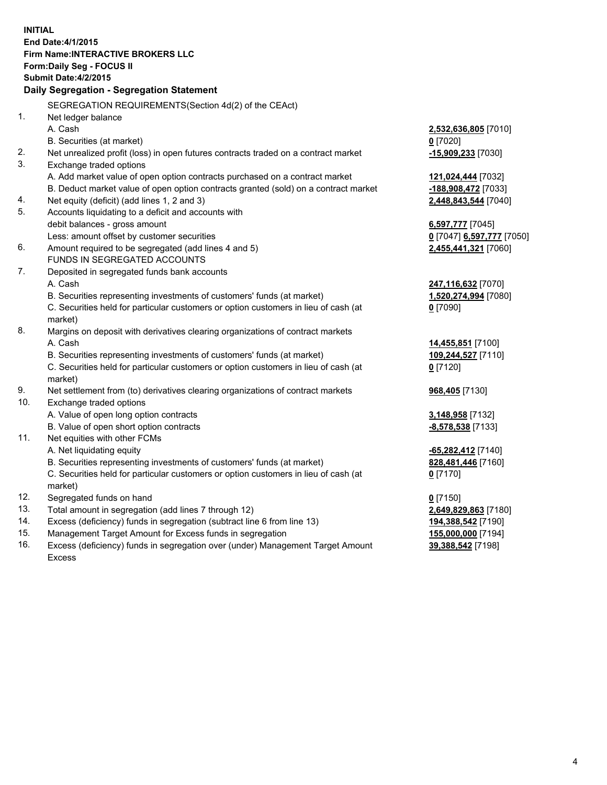**INITIAL End Date:4/1/2015 Firm Name:INTERACTIVE BROKERS LLC Form:Daily Seg - FOCUS II Submit Date:4/2/2015 Daily Segregation - Segregation Statement** SEGREGATION REQUIREMENTS(Section 4d(2) of the CEAct) 1. Net ledger balance A. Cash **2,532,636,805** [7010] B. Securities (at market) **0** [7020] 2. Net unrealized profit (loss) in open futures contracts traded on a contract market **-15,909,233** [7030] 3. Exchange traded options A. Add market value of open option contracts purchased on a contract market **121,024,444** [7032] B. Deduct market value of open option contracts granted (sold) on a contract market **-188,908,472** [7033] 4. Net equity (deficit) (add lines 1, 2 and 3) **2,448,843,544** [7040] 5. Accounts liquidating to a deficit and accounts with debit balances - gross amount **6,597,777** [7045] Less: amount offset by customer securities **0** [7047] **6,597,777** [7050] 6. Amount required to be segregated (add lines 4 and 5) **2,455,441,321** [7060] FUNDS IN SEGREGATED ACCOUNTS 7. Deposited in segregated funds bank accounts A. Cash **247,116,632** [7070] B. Securities representing investments of customers' funds (at market) **1,520,274,994** [7080] C. Securities held for particular customers or option customers in lieu of cash (at market) **0** [7090] 8. Margins on deposit with derivatives clearing organizations of contract markets A. Cash **14,455,851** [7100] B. Securities representing investments of customers' funds (at market) **109,244,527** [7110] C. Securities held for particular customers or option customers in lieu of cash (at market) **0** [7120] 9. Net settlement from (to) derivatives clearing organizations of contract markets **968,405** [7130] 10. Exchange traded options A. Value of open long option contracts **3,148,958** [7132] B. Value of open short option contracts **-8,578,538** [7133] 11. Net equities with other FCMs A. Net liquidating equity **-65,282,412** [7140] B. Securities representing investments of customers' funds (at market) **828,481,446** [7160] C. Securities held for particular customers or option customers in lieu of cash (at market) **0** [7170] 12. Segregated funds on hand **0** [7150] 13. Total amount in segregation (add lines 7 through 12) **2,649,829,863** [7180] 14. Excess (deficiency) funds in segregation (subtract line 6 from line 13) **194,388,542** [7190] 15. Management Target Amount for Excess funds in segregation **155,000,000** [7194]

16. Excess (deficiency) funds in segregation over (under) Management Target Amount Excess

**39,388,542** [7198]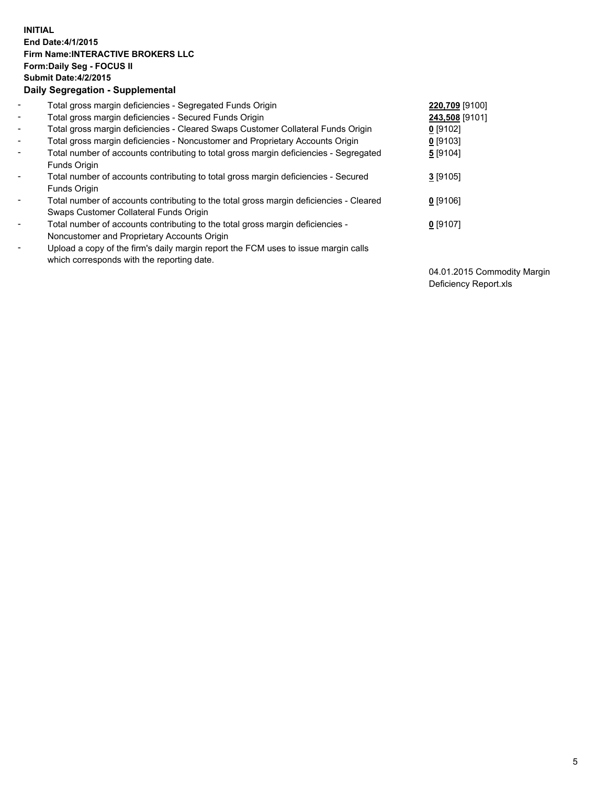## **INITIAL End Date:4/1/2015 Firm Name:INTERACTIVE BROKERS LLC Form:Daily Seg - FOCUS II Submit Date:4/2/2015 Daily Segregation - Supplemental**

| $\blacksquare$               | Total gross margin deficiencies - Segregated Funds Origin                              | 220,709 [9100] |
|------------------------------|----------------------------------------------------------------------------------------|----------------|
| $\blacksquare$               | Total gross margin deficiencies - Secured Funds Origin                                 | 243,508 [9101] |
| $\blacksquare$               | Total gross margin deficiencies - Cleared Swaps Customer Collateral Funds Origin       | $0$ [9102]     |
| $\blacksquare$               | Total gross margin deficiencies - Noncustomer and Proprietary Accounts Origin          | $0$ [9103]     |
| $\blacksquare$               | Total number of accounts contributing to total gross margin deficiencies - Segregated  | 5 [9104]       |
|                              | Funds Origin                                                                           |                |
| $\overline{\phantom{a}}$     | Total number of accounts contributing to total gross margin deficiencies - Secured     | $3$ [9105]     |
|                              | Funds Origin                                                                           |                |
| $\overline{\phantom{0}}$     | Total number of accounts contributing to the total gross margin deficiencies - Cleared | $0$ [9106]     |
|                              | Swaps Customer Collateral Funds Origin                                                 |                |
| ۰                            | Total number of accounts contributing to the total gross margin deficiencies -         | $0$ [9107]     |
|                              | Noncustomer and Proprietary Accounts Origin                                            |                |
| $\qquad \qquad \blacksquare$ | Upload a copy of the firm's daily margin report the FCM uses to issue margin calls     |                |
|                              | which corresponds with the reporting date.                                             |                |

04.01.2015 Commodity Margin Deficiency Report.xls